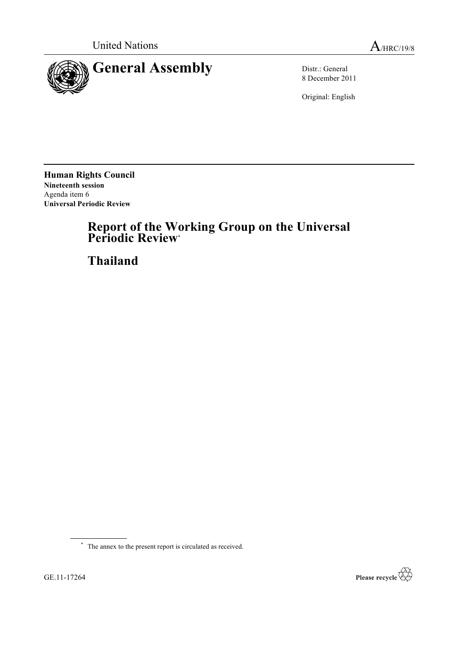



8 December 2011

Original: English

**Human Rights Council Nineteenth session** Agenda item 6 **Universal Periodic Review**

# **Report of the Working Group on the Universal Periodic Review**\*

**Thailand**

\* The annex to the present report is circulated as received.



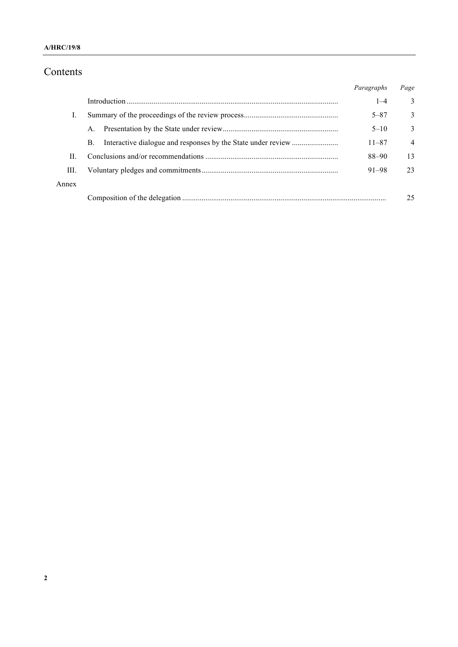## Contents

|       |                | Paragraphs | Page           |
|-------|----------------|------------|----------------|
|       |                | $1 - 4$    | 3              |
|       |                | $5 - 87$   | 3              |
|       | $\mathsf{A}$ . | $5 - 10$   | 3              |
|       | B.             | $11 - 87$  | $\overline{4}$ |
| H     |                | $88 - 90$  | 13             |
| Ш.    |                | $91 - 98$  | 23             |
| Annex |                |            |                |
|       |                |            | 25             |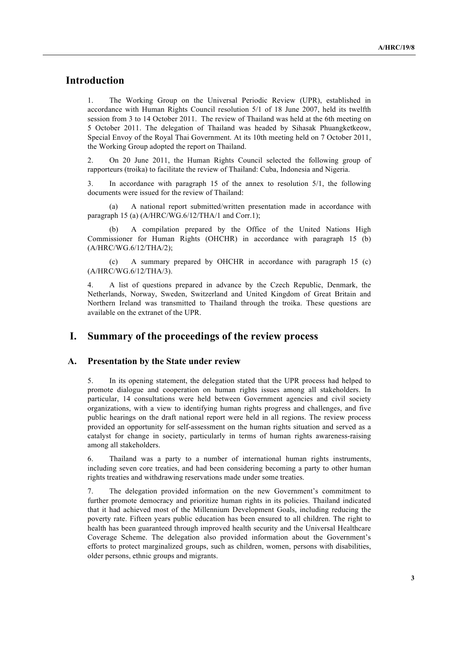## **Introduction**

1. The Working Group on the Universal Periodic Review (UPR), established in accordance with Human Rights Council resolution 5/1 of 18 June 2007, held its twelfth session from 3 to 14 October 2011. The review of Thailand was held at the 6th meeting on 5 October 2011. The delegation of Thailand was headed by Sihasak Phuangketkeow, Special Envoy of the Royal Thai Government. At its 10th meeting held on 7 October 2011, the Working Group adopted the report on Thailand.

2. On 20 June 2011, the Human Rights Council selected the following group of rapporteurs (troika) to facilitate the review of Thailand: Cuba, Indonesia and Nigeria.

3. In accordance with paragraph 15 of the annex to resolution 5/1, the following documents were issued for the review of Thailand:

(a) A national report submitted/written presentation made in accordance with paragraph 15 (a) (A/HRC/WG.6/12/THA/1 and Corr.1);

(b) A compilation prepared by the Office of the United Nations High Commissioner for Human Rights (OHCHR) in accordance with paragraph 15 (b) (A/HRC/WG.6/12/THA/2);

(c) A summary prepared by OHCHR in accordance with paragraph 15 (c) (A/HRC/WG.6/12/THA/3).

4. A list of questions prepared in advance by the Czech Republic, Denmark, the Netherlands, Norway, Sweden, Switzerland and United Kingdom of Great Britain and Northern Ireland was transmitted to Thailand through the troika. These questions are available on the extranet of the UPR.

## **I. Summary of the proceedings of the review process**

#### **A. Presentation by the State under review**

5. In its opening statement, the delegation stated that the UPR process had helped to promote dialogue and cooperation on human rights issues among all stakeholders. In particular, 14 consultations were held between Government agencies and civil society organizations, with a view to identifying human rights progress and challenges, and five public hearings on the draft national report were held in all regions. The review process provided an opportunity for self-assessment on the human rights situation and served as a catalyst for change in society, particularly in terms of human rights awareness-raising among all stakeholders.

6. Thailand was a party to a number of international human rights instruments, including seven core treaties, and had been considering becoming a party to other human rights treaties and withdrawing reservations made under some treaties.

7. The delegation provided information on the new Government's commitment to further promote democracy and prioritize human rights in its policies. Thailand indicated that it had achieved most of the Millennium Development Goals, including reducing the poverty rate. Fifteen years public education has been ensured to all children. The right to health has been guaranteed through improved health security and the Universal Healthcare Coverage Scheme. The delegation also provided information about the Government's efforts to protect marginalized groups, such as children, women, persons with disabilities, older persons, ethnic groups and migrants.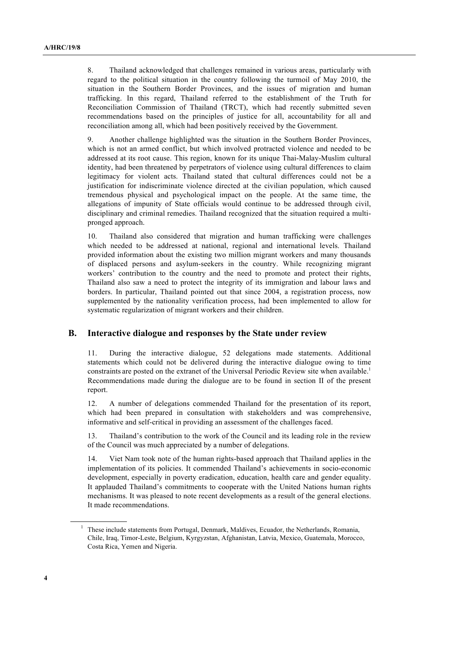8. Thailand acknowledged that challenges remained in various areas, particularly with regard to the political situation in the country following the turmoil of May 2010, the situation in the Southern Border Provinces, and the issues of migration and human trafficking. In this regard, Thailand referred to the establishment of the Truth for Reconciliation Commission of Thailand (TRCT), which had recently submitted seven recommendations based on the principles of justice for all, accountability for all and reconciliation among all, which had been positively received by the Government.

9. Another challenge highlighted was the situation in the Southern Border Provinces, which is not an armed conflict, but which involved protracted violence and needed to be addressed at its root cause. This region, known for its unique Thai-Malay-Muslim cultural identity, had been threatened by perpetrators of violence using cultural differences to claim legitimacy for violent acts. Thailand stated that cultural differences could not be a justification for indiscriminate violence directed at the civilian population, which caused tremendous physical and psychological impact on the people. At the same time, the allegations of impunity of State officials would continue to be addressed through civil, disciplinary and criminal remedies. Thailand recognized that the situation required a multipronged approach.

10. Thailand also considered that migration and human trafficking were challenges which needed to be addressed at national, regional and international levels. Thailand provided information about the existing two million migrant workers and many thousands of displaced persons and asylum-seekers in the country. While recognizing migrant workers' contribution to the country and the need to promote and protect their rights, Thailand also saw a need to protect the integrity of its immigration and labour laws and borders. In particular, Thailand pointed out that since 2004, a registration process, now supplemented by the nationality verification process, had been implemented to allow for systematic regularization of migrant workers and their children.

#### **B. Interactive dialogue and responses by the State under review**

11. During the interactive dialogue, 52 delegations made statements. Additional statements which could not be delivered during the interactive dialogue owing to time constraints are posted on the extranet of the Universal Periodic Review site when available.<sup>1</sup> Recommendations made during the dialogue are to be found in section II of the present report.

12. A number of delegations commended Thailand for the presentation of its report, which had been prepared in consultation with stakeholders and was comprehensive, informative and self-critical in providing an assessment of the challenges faced.

13. Thailand's contribution to the work of the Council and its leading role in the review of the Council was much appreciated by a number of delegations.

14. Viet Nam took note of the human rights-based approach that Thailand applies in the implementation of its policies. It commended Thailand's achievements in socio-economic development, especially in poverty eradication, education, health care and gender equality. It applauded Thailand's commitments to cooperate with the United Nations human rights mechanisms. It was pleased to note recent developments as a result of the general elections. It made recommendations.

<sup>&</sup>lt;sup>1</sup> These include statements from Portugal, Denmark, Maldives, Ecuador, the Netherlands, Romania, Chile, Iraq, Timor-Leste, Belgium, Kyrgyzstan, Afghanistan, Latvia, Mexico, Guatemala, Morocco, Costa Rica, Yemen and Nigeria.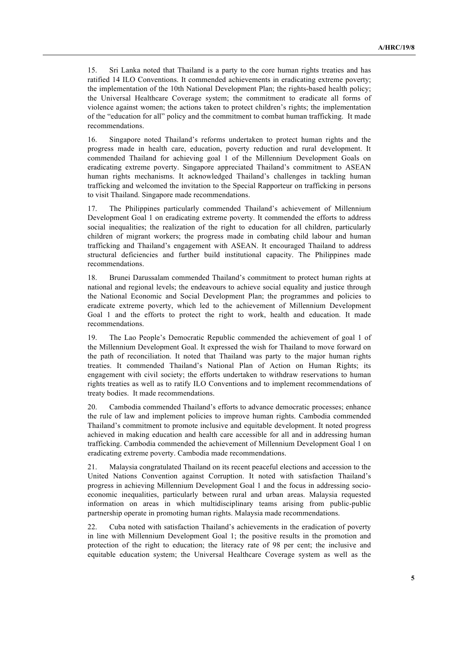15. Sri Lanka noted that Thailand is a party to the core human rights treaties and has ratified 14 ILO Conventions. It commended achievements in eradicating extreme poverty; the implementation of the 10th National Development Plan; the rights-based health policy; the Universal Healthcare Coverage system; the commitment to eradicate all forms of violence against women; the actions taken to protect children's rights; the implementation of the "education for all" policy and the commitment to combat human trafficking. It made recommendations.

16. Singapore noted Thailand's reforms undertaken to protect human rights and the progress made in health care, education, poverty reduction and rural development. It commended Thailand for achieving goal 1 of the Millennium Development Goals on eradicating extreme poverty. Singapore appreciated Thailand's commitment to ASEAN human rights mechanisms. It acknowledged Thailand's challenges in tackling human trafficking and welcomed the invitation to the Special Rapporteur on trafficking in persons to visit Thailand. Singapore made recommendations.

17. The Philippines particularly commended Thailand's achievement of Millennium Development Goal 1 on eradicating extreme poverty. It commended the efforts to address social inequalities; the realization of the right to education for all children, particularly children of migrant workers; the progress made in combating child labour and human trafficking and Thailand's engagement with ASEAN. It encouraged Thailand to address structural deficiencies and further build institutional capacity. The Philippines made recommendations.

18. Brunei Darussalam commended Thailand's commitment to protect human rights at national and regional levels; the endeavours to achieve social equality and justice through the National Economic and Social Development Plan; the programmes and policies to eradicate extreme poverty, which led to the achievement of Millennium Development Goal 1 and the efforts to protect the right to work, health and education. It made recommendations.

19. The Lao People's Democratic Republic commended the achievement of goal 1 of the Millennium Development Goal. It expressed the wish for Thailand to move forward on the path of reconciliation. It noted that Thailand was party to the major human rights treaties. It commended Thailand's National Plan of Action on Human Rights; its engagement with civil society; the efforts undertaken to withdraw reservations to human rights treaties as well as to ratify ILO Conventions and to implement recommendations of treaty bodies. It made recommendations.

20. Cambodia commended Thailand's efforts to advance democratic processes; enhance the rule of law and implement policies to improve human rights. Cambodia commended Thailand's commitment to promote inclusive and equitable development. It noted progress achieved in making education and health care accessible for all and in addressing human trafficking. Cambodia commended the achievement of Millennium Development Goal 1 on eradicating extreme poverty. Cambodia made recommendations.

21. Malaysia congratulated Thailand on its recent peaceful elections and accession to the United Nations Convention against Corruption. It noted with satisfaction Thailand's progress in achieving Millennium Development Goal 1 and the focus in addressing socioeconomic inequalities, particularly between rural and urban areas. Malaysia requested information on areas in which multidisciplinary teams arising from public-public partnership operate in promoting human rights. Malaysia made recommendations.

22. Cuba noted with satisfaction Thailand's achievements in the eradication of poverty in line with Millennium Development Goal 1; the positive results in the promotion and protection of the right to education; the literacy rate of 98 per cent; the inclusive and equitable education system; the Universal Healthcare Coverage system as well as the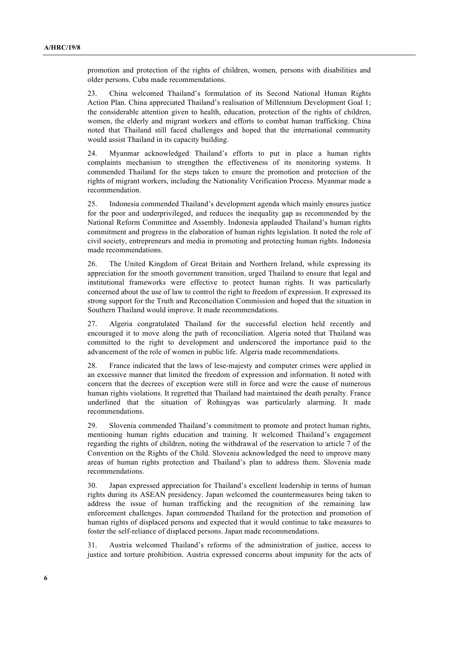promotion and protection of the rights of children, women, persons with disabilities and older persons. Cuba made recommendations.

23. China welcomed Thailand's formulation of its Second National Human Rights Action Plan. China appreciated Thailand's realisation of Millennium Development Goal 1; the considerable attention given to health, education, protection of the rights of children, women, the elderly and migrant workers and efforts to combat human trafficking. China noted that Thailand still faced challenges and hoped that the international community would assist Thailand in its capacity building.

24. Myanmar acknowledged Thailand's efforts to put in place a human rights complaints mechanism to strengthen the effectiveness of its monitoring systems. It commended Thailand for the steps taken to ensure the promotion and protection of the rights of migrant workers, including the Nationality Verification Process. Myanmar made a recommendation.

25. Indonesia commended Thailand's development agenda which mainly ensures justice for the poor and underprivileged, and reduces the inequality gap as recommended by the National Reform Committee and Assembly. Indonesia applauded Thailand's human rights commitment and progress in the elaboration of human rights legislation. It noted the role of civil society, entrepreneurs and media in promoting and protecting human rights. Indonesia made recommendations.

26. The United Kingdom of Great Britain and Northern Ireland, while expressing its appreciation for the smooth government transition, urged Thailand to ensure that legal and institutional frameworks were effective to protect human rights. It was particularly concerned about the use of law to control the right to freedom of expression. It expressed its strong support for the Truth and Reconciliation Commission and hoped that the situation in Southern Thailand would improve. It made recommendations.

27. Algeria congratulated Thailand for the successful election held recently and encouraged it to move along the path of reconciliation. Algeria noted that Thailand was committed to the right to development and underscored the importance paid to the advancement of the role of women in public life. Algeria made recommendations.

28. France indicated that the laws of lese-majesty and computer crimes were applied in an excessive manner that limited the freedom of expression and information. It noted with concern that the decrees of exception were still in force and were the cause of numerous human rights violations. It regretted that Thailand had maintained the death penalty. France underlined that the situation of Rohingyas was particularly alarming. It made recommendations.

29. Slovenia commended Thailand's commitment to promote and protect human rights, mentioning human rights education and training. It welcomed Thailand's engagement regarding the rights of children, noting the withdrawal of the reservation to article 7 of the Convention on the Rights of the Child. Slovenia acknowledged the need to improve many areas of human rights protection and Thailand's plan to address them. Slovenia made recommendations.

30. Japan expressed appreciation for Thailand's excellent leadership in terms of human rights during its ASEAN presidency. Japan welcomed the countermeasures being taken to address the issue of human trafficking and the recognition of the remaining law enforcement challenges. Japan commended Thailand for the protection and promotion of human rights of displaced persons and expected that it would continue to take measures to foster the self-reliance of displaced persons. Japan made recommendations.

31. Austria welcomed Thailand's reforms of the administration of justice, access to justice and torture prohibition. Austria expressed concerns about impunity for the acts of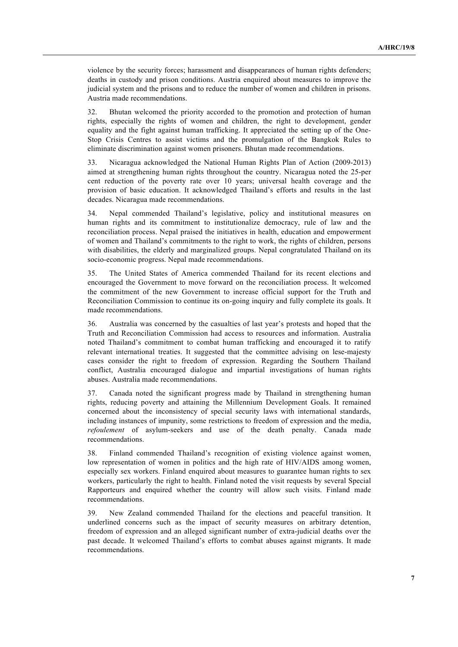violence by the security forces; harassment and disappearances of human rights defenders; deaths in custody and prison conditions. Austria enquired about measures to improve the judicial system and the prisons and to reduce the number of women and children in prisons. Austria made recommendations.

32. Bhutan welcomed the priority accorded to the promotion and protection of human rights, especially the rights of women and children, the right to development, gender equality and the fight against human trafficking. It appreciated the setting up of the One-Stop Crisis Centres to assist victims and the promulgation of the Bangkok Rules to eliminate discrimination against women prisoners. Bhutan made recommendations.

33. Nicaragua acknowledged the National Human Rights Plan of Action (2009-2013) aimed at strengthening human rights throughout the country. Nicaragua noted the 25-per cent reduction of the poverty rate over 10 years; universal health coverage and the provision of basic education. It acknowledged Thailand's efforts and results in the last decades. Nicaragua made recommendations.

34. Nepal commended Thailand's legislative, policy and institutional measures on human rights and its commitment to institutionalize democracy, rule of law and the reconciliation process. Nepal praised the initiatives in health, education and empowerment of women and Thailand's commitments to the right to work, the rights of children, persons with disabilities, the elderly and marginalized groups. Nepal congratulated Thailand on its socio-economic progress. Nepal made recommendations.

35. The United States of America commended Thailand for its recent elections and encouraged the Government to move forward on the reconciliation process. It welcomed the commitment of the new Government to increase official support for the Truth and Reconciliation Commission to continue its on-going inquiry and fully complete its goals. It made recommendations.

36. Australia was concerned by the casualties of last year's protests and hoped that the Truth and Reconciliation Commission had access to resources and information. Australia noted Thailand's commitment to combat human trafficking and encouraged it to ratify relevant international treaties. It suggested that the committee advising on lese-majesty cases consider the right to freedom of expression. Regarding the Southern Thailand conflict, Australia encouraged dialogue and impartial investigations of human rights abuses. Australia made recommendations.

37. Canada noted the significant progress made by Thailand in strengthening human rights, reducing poverty and attaining the Millennium Development Goals. It remained concerned about the inconsistency of special security laws with international standards, including instances of impunity, some restrictions to freedom of expression and the media, *refoulement* of asylum-seekers and use of the death penalty. Canada made recommendations.

38. Finland commended Thailand's recognition of existing violence against women, low representation of women in politics and the high rate of HIV/AIDS among women, especially sex workers. Finland enquired about measures to guarantee human rights to sex workers, particularly the right to health. Finland noted the visit requests by several Special Rapporteurs and enquired whether the country will allow such visits. Finland made recommendations.

39. New Zealand commended Thailand for the elections and peaceful transition. It underlined concerns such as the impact of security measures on arbitrary detention, freedom of expression and an alleged significant number of extra-judicial deaths over the past decade. It welcomed Thailand's efforts to combat abuses against migrants. It made recommendations.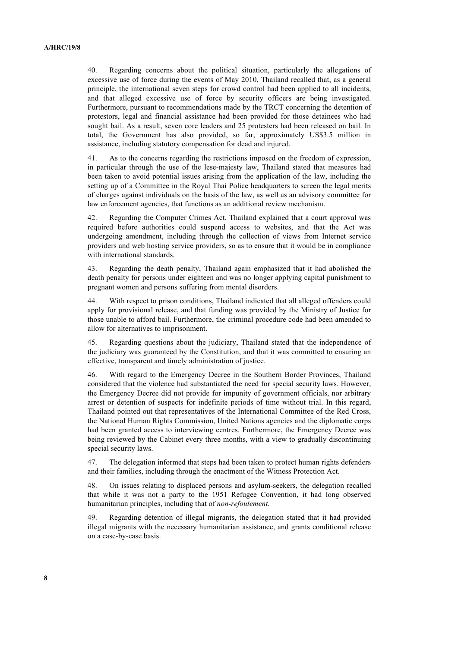40. Regarding concerns about the political situation, particularly the allegations of excessive use of force during the events of May 2010, Thailand recalled that, as a general principle, the international seven steps for crowd control had been applied to all incidents, and that alleged excessive use of force by security officers are being investigated. Furthermore, pursuant to recommendations made by the TRCT concerning the detention of protestors, legal and financial assistance had been provided for those detainees who had sought bail. As a result, seven core leaders and 25 protesters had been released on bail. In total, the Government has also provided, so far, approximately US\$3.5 million in assistance, including statutory compensation for dead and injured.

41. As to the concerns regarding the restrictions imposed on the freedom of expression, in particular through the use of the lese-majesty law, Thailand stated that measures had been taken to avoid potential issues arising from the application of the law, including the setting up of a Committee in the Royal Thai Police headquarters to screen the legal merits of charges against individuals on the basis of the law, as well as an advisory committee for law enforcement agencies, that functions as an additional review mechanism.

42. Regarding the Computer Crimes Act, Thailand explained that a court approval was required before authorities could suspend access to websites, and that the Act was undergoing amendment, including through the collection of views from Internet service providers and web hosting service providers, so as to ensure that it would be in compliance with international standards.

43. Regarding the death penalty, Thailand again emphasized that it had abolished the death penalty for persons under eighteen and was no longer applying capital punishment to pregnant women and persons suffering from mental disorders.

44. With respect to prison conditions, Thailand indicated that all alleged offenders could apply for provisional release, and that funding was provided by the Ministry of Justice for those unable to afford bail. Furthermore, the criminal procedure code had been amended to allow for alternatives to imprisonment.

45. Regarding questions about the judiciary, Thailand stated that the independence of the judiciary was guaranteed by the Constitution, and that it was committed to ensuring an effective, transparent and timely administration of justice.

46. With regard to the Emergency Decree in the Southern Border Provinces, Thailand considered that the violence had substantiated the need for special security laws. However, the Emergency Decree did not provide for impunity of government officials, nor arbitrary arrest or detention of suspects for indefinite periods of time without trial. In this regard, Thailand pointed out that representatives of the International Committee of the Red Cross, the National Human Rights Commission, United Nations agencies and the diplomatic corps had been granted access to interviewing centres. Furthermore, the Emergency Decree was being reviewed by the Cabinet every three months, with a view to gradually discontinuing special security laws.

47. The delegation informed that steps had been taken to protect human rights defenders and their families, including through the enactment of the Witness Protection Act.

48. On issues relating to displaced persons and asylum-seekers, the delegation recalled that while it was not a party to the 1951 Refugee Convention, it had long observed humanitarian principles, including that of *non-refoulement*.

49. Regarding detention of illegal migrants, the delegation stated that it had provided illegal migrants with the necessary humanitarian assistance, and grants conditional release on a case-by-case basis.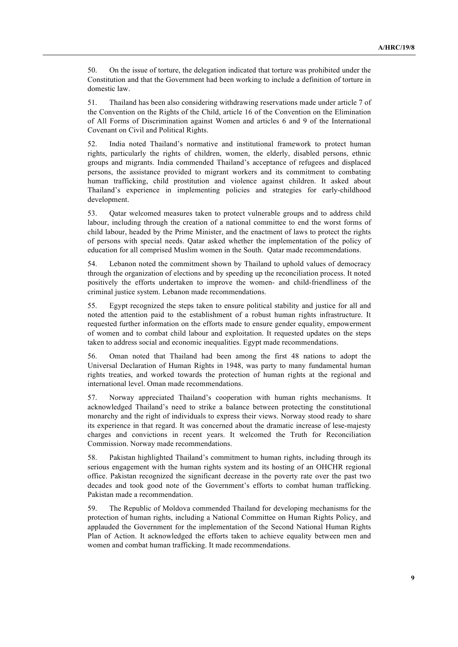50. On the issue of torture, the delegation indicated that torture was prohibited under the Constitution and that the Government had been working to include a definition of torture in domestic law.

51. Thailand has been also considering withdrawing reservations made under article 7 of the Convention on the Rights of the Child, article 16 of the Convention on the Elimination of All Forms of Discrimination against Women and articles 6 and 9 of the International Covenant on Civil and Political Rights.

52. India noted Thailand's normative and institutional framework to protect human rights, particularly the rights of children, women, the elderly, disabled persons, ethnic groups and migrants. India commended Thailand's acceptance of refugees and displaced persons, the assistance provided to migrant workers and its commitment to combating human trafficking, child prostitution and violence against children. It asked about Thailand's experience in implementing policies and strategies for early-childhood development.

53. Qatar welcomed measures taken to protect vulnerable groups and to address child labour, including through the creation of a national committee to end the worst forms of child labour, headed by the Prime Minister, and the enactment of laws to protect the rights of persons with special needs. Qatar asked whether the implementation of the policy of education for all comprised Muslim women in the South. Qatar made recommendations.

54. Lebanon noted the commitment shown by Thailand to uphold values of democracy through the organization of elections and by speeding up the reconciliation process. It noted positively the efforts undertaken to improve the women- and child-friendliness of the criminal justice system. Lebanon made recommendations.

55. Egypt recognized the steps taken to ensure political stability and justice for all and noted the attention paid to the establishment of a robust human rights infrastructure. It requested further information on the efforts made to ensure gender equality, empowerment of women and to combat child labour and exploitation. It requested updates on the steps taken to address social and economic inequalities. Egypt made recommendations.

56. Oman noted that Thailand had been among the first 48 nations to adopt the Universal Declaration of Human Rights in 1948, was party to many fundamental human rights treaties, and worked towards the protection of human rights at the regional and international level. Oman made recommendations.

57. Norway appreciated Thailand's cooperation with human rights mechanisms. It acknowledged Thailand's need to strike a balance between protecting the constitutional monarchy and the right of individuals to express their views. Norway stood ready to share its experience in that regard. It was concerned about the dramatic increase of lese-majesty charges and convictions in recent years. It welcomed the Truth for Reconciliation Commission. Norway made recommendations.

58. Pakistan highlighted Thailand's commitment to human rights, including through its serious engagement with the human rights system and its hosting of an OHCHR regional office. Pakistan recognized the significant decrease in the poverty rate over the past two decades and took good note of the Government's efforts to combat human trafficking. Pakistan made a recommendation.

59. The Republic of Moldova commended Thailand for developing mechanisms for the protection of human rights, including a National Committee on Human Rights Policy, and applauded the Government for the implementation of the Second National Human Rights Plan of Action. It acknowledged the efforts taken to achieve equality between men and women and combat human trafficking. It made recommendations.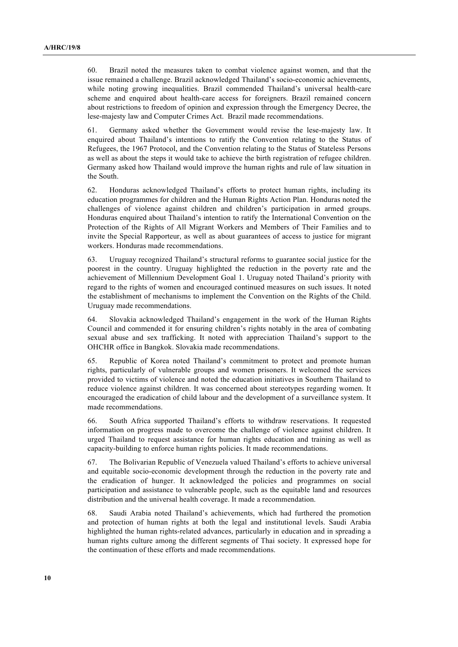60. Brazil noted the measures taken to combat violence against women, and that the issue remained a challenge. Brazil acknowledged Thailand's socio-economic achievements, while noting growing inequalities. Brazil commended Thailand's universal health-care scheme and enquired about health-care access for foreigners. Brazil remained concern about restrictions to freedom of opinion and expression through the Emergency Decree, the lese-majesty law and Computer Crimes Act. Brazil made recommendations.

61. Germany asked whether the Government would revise the lese-majesty law. It enquired about Thailand's intentions to ratify the Convention relating to the Status of Refugees, the 1967 Protocol, and the Convention relating to the Status of Stateless Persons as well as about the steps it would take to achieve the birth registration of refugee children. Germany asked how Thailand would improve the human rights and rule of law situation in the South.

62. Honduras acknowledged Thailand's efforts to protect human rights, including its education programmes for children and the Human Rights Action Plan. Honduras noted the challenges of violence against children and children's participation in armed groups. Honduras enquired about Thailand's intention to ratify the International Convention on the Protection of the Rights of All Migrant Workers and Members of Their Families and to invite the Special Rapporteur, as well as about guarantees of access to justice for migrant workers. Honduras made recommendations.

63. Uruguay recognized Thailand's structural reforms to guarantee social justice for the poorest in the country. Uruguay highlighted the reduction in the poverty rate and the achievement of Millennium Development Goal 1. Uruguay noted Thailand's priority with regard to the rights of women and encouraged continued measures on such issues. It noted the establishment of mechanisms to implement the Convention on the Rights of the Child. Uruguay made recommendations.

64. Slovakia acknowledged Thailand's engagement in the work of the Human Rights Council and commended it for ensuring children's rights notably in the area of combating sexual abuse and sex trafficking. It noted with appreciation Thailand's support to the OHCHR office in Bangkok. Slovakia made recommendations.

65. Republic of Korea noted Thailand's commitment to protect and promote human rights, particularly of vulnerable groups and women prisoners. It welcomed the services provided to victims of violence and noted the education initiatives in Southern Thailand to reduce violence against children. It was concerned about stereotypes regarding women. It encouraged the eradication of child labour and the development of a surveillance system. It made recommendations.

66. South Africa supported Thailand's efforts to withdraw reservations. It requested information on progress made to overcome the challenge of violence against children. It urged Thailand to request assistance for human rights education and training as well as capacity-building to enforce human rights policies. It made recommendations.

67. The Bolivarian Republic of Venezuela valued Thailand's efforts to achieve universal and equitable socio-economic development through the reduction in the poverty rate and the eradication of hunger. It acknowledged the policies and programmes on social participation and assistance to vulnerable people, such as the equitable land and resources distribution and the universal health coverage. It made a recommendation.

68. Saudi Arabia noted Thailand's achievements, which had furthered the promotion and protection of human rights at both the legal and institutional levels. Saudi Arabia highlighted the human rights-related advances, particularly in education and in spreading a human rights culture among the different segments of Thai society. It expressed hope for the continuation of these efforts and made recommendations.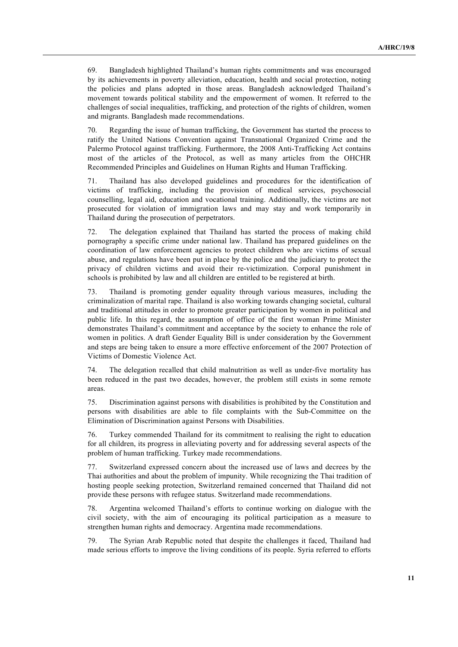69. Bangladesh highlighted Thailand's human rights commitments and was encouraged by its achievements in poverty alleviation, education, health and social protection, noting the policies and plans adopted in those areas. Bangladesh acknowledged Thailand's movement towards political stability and the empowerment of women. It referred to the challenges of social inequalities, trafficking, and protection of the rights of children, women and migrants. Bangladesh made recommendations.

70. Regarding the issue of human trafficking, the Government has started the process to ratify the United Nations Convention against Transnational Organized Crime and the Palermo Protocol against trafficking. Furthermore, the 2008 Anti-Trafficking Act contains most of the articles of the Protocol, as well as many articles from the OHCHR Recommended Principles and Guidelines on Human Rights and Human Trafficking.

71. Thailand has also developed guidelines and procedures for the identification of victims of trafficking, including the provision of medical services, psychosocial counselling, legal aid, education and vocational training. Additionally, the victims are not prosecuted for violation of immigration laws and may stay and work temporarily in Thailand during the prosecution of perpetrators.

72. The delegation explained that Thailand has started the process of making child pornography a specific crime under national law. Thailand has prepared guidelines on the coordination of law enforcement agencies to protect children who are victims of sexual abuse, and regulations have been put in place by the police and the judiciary to protect the privacy of children victims and avoid their re-victimization. Corporal punishment in schools is prohibited by law and all children are entitled to be registered at birth.

73. Thailand is promoting gender equality through various measures, including the criminalization of marital rape. Thailand is also working towards changing societal, cultural and traditional attitudes in order to promote greater participation by women in political and public life. In this regard, the assumption of office of the first woman Prime Minister demonstrates Thailand's commitment and acceptance by the society to enhance the role of women in politics. A draft Gender Equality Bill is under consideration by the Government and steps are being taken to ensure a more effective enforcement of the 2007 Protection of Victims of Domestic Violence Act.

74. The delegation recalled that child malnutrition as well as under-five mortality has been reduced in the past two decades, however, the problem still exists in some remote areas.

75. Discrimination against persons with disabilities is prohibited by the Constitution and persons with disabilities are able to file complaints with the Sub-Committee on the Elimination of Discrimination against Persons with Disabilities.

76. Turkey commended Thailand for its commitment to realising the right to education for all children, its progress in alleviating poverty and for addressing several aspects of the problem of human trafficking. Turkey made recommendations.

77. Switzerland expressed concern about the increased use of laws and decrees by the Thai authorities and about the problem of impunity. While recognizing the Thai tradition of hosting people seeking protection, Switzerland remained concerned that Thailand did not provide these persons with refugee status. Switzerland made recommendations.

78. Argentina welcomed Thailand's efforts to continue working on dialogue with the civil society, with the aim of encouraging its political participation as a measure to strengthen human rights and democracy. Argentina made recommendations.

79. The Syrian Arab Republic noted that despite the challenges it faced, Thailand had made serious efforts to improve the living conditions of its people. Syria referred to efforts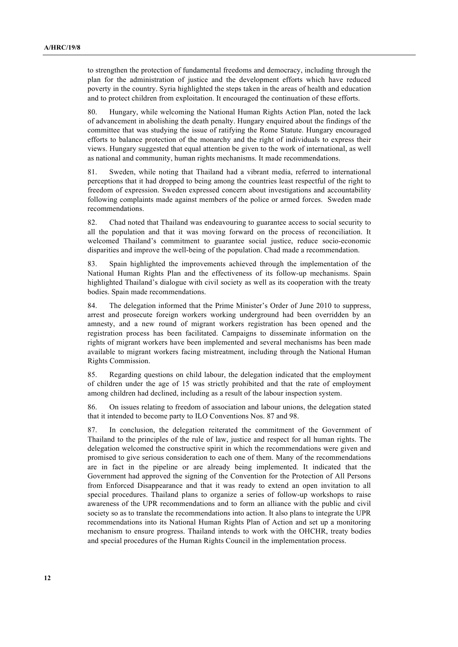to strengthen the protection of fundamental freedoms and democracy, including through the plan for the administration of justice and the development efforts which have reduced poverty in the country. Syria highlighted the steps taken in the areas of health and education and to protect children from exploitation. It encouraged the continuation of these efforts.

80. Hungary, while welcoming the National Human Rights Action Plan, noted the lack of advancement in abolishing the death penalty. Hungary enquired about the findings of the committee that was studying the issue of ratifying the Rome Statute. Hungary encouraged efforts to balance protection of the monarchy and the right of individuals to express their views. Hungary suggested that equal attention be given to the work of international, as well as national and community, human rights mechanisms. It made recommendations.

81. Sweden, while noting that Thailand had a vibrant media, referred to international perceptions that it had dropped to being among the countries least respectful of the right to freedom of expression. Sweden expressed concern about investigations and accountability following complaints made against members of the police or armed forces. Sweden made recommendations.

82. Chad noted that Thailand was endeavouring to guarantee access to social security to all the population and that it was moving forward on the process of reconciliation. It welcomed Thailand's commitment to guarantee social justice, reduce socio-economic disparities and improve the well-being of the population. Chad made a recommendation.

83. Spain highlighted the improvements achieved through the implementation of the National Human Rights Plan and the effectiveness of its follow-up mechanisms. Spain highlighted Thailand's dialogue with civil society as well as its cooperation with the treaty bodies. Spain made recommendations.

84. The delegation informed that the Prime Minister's Order of June 2010 to suppress, arrest and prosecute foreign workers working underground had been overridden by an amnesty, and a new round of migrant workers registration has been opened and the registration process has been facilitated. Campaigns to disseminate information on the rights of migrant workers have been implemented and several mechanisms has been made available to migrant workers facing mistreatment, including through the National Human Rights Commission.

85. Regarding questions on child labour, the delegation indicated that the employment of children under the age of 15 was strictly prohibited and that the rate of employment among children had declined, including as a result of the labour inspection system.

86. On issues relating to freedom of association and labour unions, the delegation stated that it intended to become party to ILO Conventions Nos. 87 and 98.

87. In conclusion, the delegation reiterated the commitment of the Government of Thailand to the principles of the rule of law, justice and respect for all human rights. The delegation welcomed the constructive spirit in which the recommendations were given and promised to give serious consideration to each one of them. Many of the recommendations are in fact in the pipeline or are already being implemented. It indicated that the Government had approved the signing of the Convention for the Protection of All Persons from Enforced Disappearance and that it was ready to extend an open invitation to all special procedures. Thailand plans to organize a series of follow-up workshops to raise awareness of the UPR recommendations and to form an alliance with the public and civil society so as to translate the recommendations into action. It also plans to integrate the UPR recommendations into its National Human Rights Plan of Action and set up a monitoring mechanism to ensure progress. Thailand intends to work with the OHCHR, treaty bodies and special procedures of the Human Rights Council in the implementation process.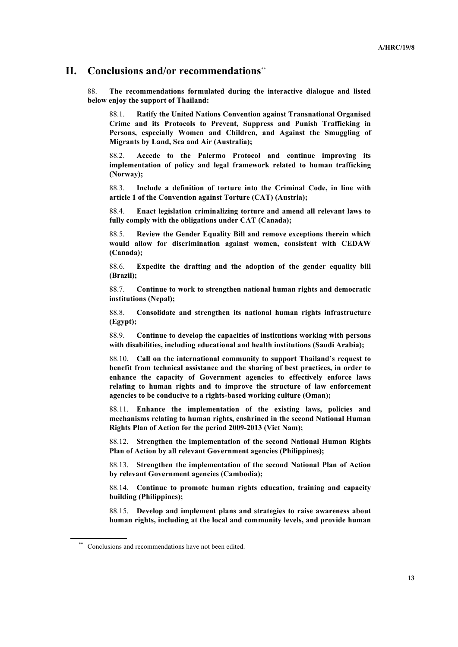## **II. Conclusions and/or recommendations**\*\*

88. **The recommendations formulated during the interactive dialogue and listed below enjoy the support of Thailand:**

88.1. **Ratify the United Nations Convention against Transnational Organised Crime and its Protocols to Prevent, Suppress and Punish Trafficking in Persons, especially Women and Children, and Against the Smuggling of Migrants by Land, Sea and Air (Australia);**

88.2. **Accede to the Palermo Protocol and continue improving its implementation of policy and legal framework related to human trafficking (Norway);**

88.3. **Include a definition of torture into the Criminal Code, in line with article 1 of the Convention against Torture (CAT) (Austria);**

88.4. **Enact legislation criminalizing torture and amend all relevant laws to fully comply with the obligations under CAT (Canada);**

88.5. **Review the Gender Equality Bill and remove exceptions therein which would allow for discrimination against women, consistent with CEDAW (Canada);**

88.6. **Expedite the drafting and the adoption of the gender equality bill (Brazil);**

88.7. **Continue to work to strengthen national human rights and democratic institutions (Nepal);**

88.8. **Consolidate and strengthen its national human rights infrastructure (Egypt);**

88.9. **Continue to develop the capacities of institutions working with persons with disabilities, including educational and health institutions (Saudi Arabia);**

88.10. **Call on the international community to support Thailand's request to benefit from technical assistance and the sharing of best practices, in order to enhance the capacity of Government agencies to effectively enforce laws relating to human rights and to improve the structure of law enforcement agencies to be conducive to a rights-based working culture (Oman);**

88.11. **Enhance the implementation of the existing laws, policies and mechanisms relating to human rights, enshrined in the second National Human Rights Plan of Action for the period 2009-2013 (Viet Nam);**

88.12. **Strengthen the implementation of the second National Human Rights Plan of Action by all relevant Government agencies (Philippines);**

88.13. **Strengthen the implementation of the second National Plan of Action by relevant Government agencies (Cambodia);**

88.14. **Continue to promote human rights education, training and capacity building (Philippines);**

88.15. **Develop and implement plans and strategies to raise awareness about human rights, including at the local and community levels, and provide human** 

Conclusions and recommendations have not been edited.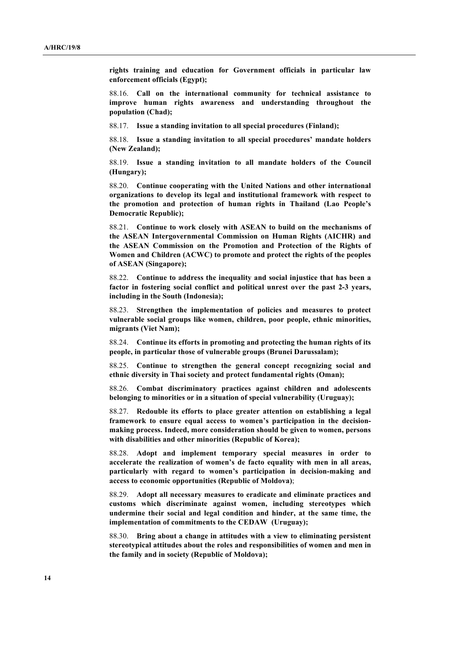**rights training and education for Government officials in particular law enforcement officials (Egypt);**

88.16. **Call on the international community for technical assistance to improve human rights awareness and understanding throughout the population (Chad);**

88.17. **Issue a standing invitation to all special procedures (Finland);**

88.18. **Issue a standing invitation to all special procedures' mandate holders (New Zealand);**

88.19. **Issue a standing invitation to all mandate holders of the Council (Hungary);**

88.20. **Continue cooperating with the United Nations and other international organizations to develop its legal and institutional framework with respect to the promotion and protection of human rights in Thailand (Lao People's Democratic Republic);**

88.21. **Continue to work closely with ASEAN to build on the mechanisms of the ASEAN Intergovernmental Commission on Human Rights (AICHR) and the ASEAN Commission on the Promotion and Protection of the Rights of Women and Children (ACWC) to promote and protect the rights of the peoples of ASEAN (Singapore);**

88.22. **Continue to address the inequality and social injustice that has been a factor in fostering social conflict and political unrest over the past 2-3 years, including in the South (Indonesia);**

88.23. **Strengthen the implementation of policies and measures to protect vulnerable social groups like women, children, poor people, ethnic minorities, migrants (Viet Nam);**

88.24. **Continue its efforts in promoting and protecting the human rights of its people, in particular those of vulnerable groups (Brunei Darussalam);**

88.25. **Continue to strengthen the general concept recognizing social and ethnic diversity in Thai society and protect fundamental rights (Oman);**

88.26. **Combat discriminatory practices against children and adolescents belonging to minorities or in a situation of special vulnerability (Uruguay);**

88.27. **Redouble its efforts to place greater attention on establishing a legal framework to ensure equal access to women's participation in the decisionmaking process. Indeed, more consideration should be given to women, persons with disabilities and other minorities (Republic of Korea);**

88.28. **Adopt and implement temporary special measures in order to accelerate the realization of women's de facto equality with men in all areas, particularly with regard to women's participation in decision-making and access to economic opportunities (Republic of Moldova)**;

88.29. **Adopt all necessary measures to eradicate and eliminate practices and customs which discriminate against women, including stereotypes which undermine their social and legal condition and hinder, at the same time, the implementation of commitments to the CEDAW (Uruguay);**

88.30. **Bring about a change in attitudes with a view to eliminating persistent stereotypical attitudes about the roles and responsibilities of women and men in the family and in society (Republic of Moldova);**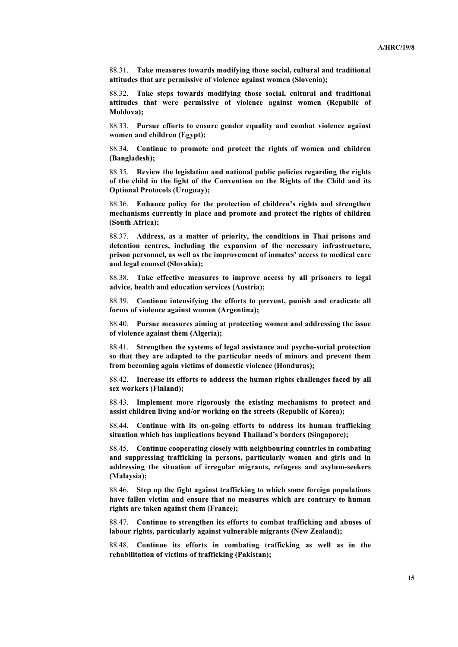88.31. **Take measures towards modifying those social, cultural and traditional attitudes that are permissive of violence against women (Slovenia);**

88.32. **Take steps towards modifying those social, cultural and traditional attitudes that were permissive of violence against women (Republic of Moldova);**

88.33. **Pursue efforts to ensure gender equality and combat violence against women and children (Egypt);**

88.34. **Continue to promote and protect the rights of women and children (Bangladesh);**

88.35. **Review the legislation and national public policies regarding the rights of the child in the light of the Convention on the Rights of the Child and its Optional Protocols (Uruguay);**

88.36. **Enhance policy for the protection of children's rights and strengthen mechanisms currently in place and promote and protect the rights of children (South Africa);**

88.37. **Address, as a matter of priority, the conditions in Thai prisons and detention centres, including the expansion of the necessary infrastructure, prison personnel, as well as the improvement of inmates' access to medical care and legal counsel (Slovakia);**

88.38. **Take effective measures to improve access by all prisoners to legal advice, health and education services (Austria);**

88.39. **Continue intensifying the efforts to prevent, punish and eradicate all forms of violence against women (Argentina);**

88.40. **Pursue measures aiming at protecting women and addressing the issue of violence against them (Algeria);**

88.41. **Strengthen the systems of legal assistance and psycho-social protection so that they are adapted to the particular needs of minors and prevent them from becoming again victims of domestic violence (Honduras);**

88.42. **Increase its efforts to address the human rights challenges faced by all sex workers (Finland);**

88.43. **Implement more rigorously the existing mechanisms to protect and assist children living and/or working on the streets (Republic of Korea);**

88.44. **Continue with its on-going efforts to address its human trafficking situation which has implications beyond Thailand's borders (Singapore);**

88.45. **Continue cooperating closely with neighbouring countries in combating and suppressing trafficking in persons, particularly women and girls and in addressing the situation of irregular migrants, refugees and asylum-seekers (Malaysia);**

88.46. **Step up the fight against trafficking to which some foreign populations have fallen victim and ensure that no measures which are contrary to human rights are taken against them (France);**

88.47. **Continue to strengthen its efforts to combat trafficking and abuses of labour rights, particularly against vulnerable migrants (New Zealand);**

88.48. **Continue its efforts in combating trafficking as well as in the rehabilitation of victims of trafficking (Pakistan);**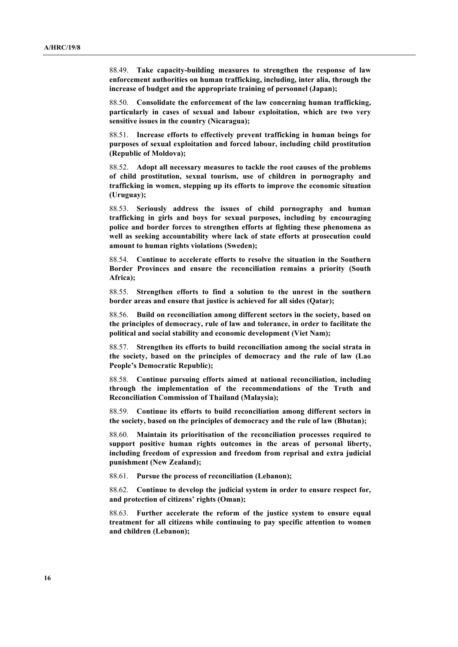88.49. **Take capacity-building measures to strengthen the response of law enforcement authorities on human trafficking, including, inter alia, through the increase of budget and the appropriate training of personnel (Japan);**

88.50. **Consolidate the enforcement of the law concerning human trafficking, particularly in cases of sexual and labour exploitation, which are two very sensitive issues in the country (Nicaragua);**

88.51. **Increase efforts to effectively prevent trafficking in human beings for purposes of sexual exploitation and forced labour, including child prostitution (Republic of Moldova);**

88.52. **Adopt all necessary measures to tackle the root causes of the problems of child prostitution, sexual tourism, use of children in pornography and trafficking in women, stepping up its efforts to improve the economic situation (Uruguay);**

88.53. **Seriously address the issues of child pornography and human trafficking in girls and boys for sexual purposes, including by encouraging police and border forces to strengthen efforts at fighting these phenomena as well as seeking accountability where lack of state efforts at prosecution could amount to human rights violations (Sweden);**

88.54. **Continue to accelerate efforts to resolve the situation in the Southern Border Provinces and ensure the reconciliation remains a priority (South Africa);**

88.55. **Strengthen efforts to find a solution to the unrest in the southern border areas and ensure that justice is achieved for all sides (Qatar);**

88.56. **Build on reconciliation among different sectors in the society, based on the principles of democracy, rule of law and tolerance, in order to facilitate the political and social stability and economic development (Viet Nam);**

88.57. **Strengthen its efforts to build reconciliation among the social strata in the society, based on the principles of democracy and the rule of law (Lao People's Democratic Republic);**

88.58. **Continue pursuing efforts aimed at national reconciliation, including through the implementation of the recommendations of the Truth and Reconciliation Commission of Thailand (Malaysia);**

88.59. **Continue its efforts to build reconciliation among different sectors in the society, based on the principles of democracy and the rule of law (Bhutan);**

88.60. **Maintain its prioritisation of the reconciliation processes required to support positive human rights outcomes in the areas of personal liberty, including freedom of expression and freedom from reprisal and extra judicial punishment (New Zealand);**

88.61. **Pursue the process of reconciliation (Lebanon);**

88.62. **Continue to develop the judicial system in order to ensure respect for, and protection of citizens' rights (Oman);**

88.63. **Further accelerate the reform of the justice system to ensure equal treatment for all citizens while continuing to pay specific attention to women and children (Lebanon);**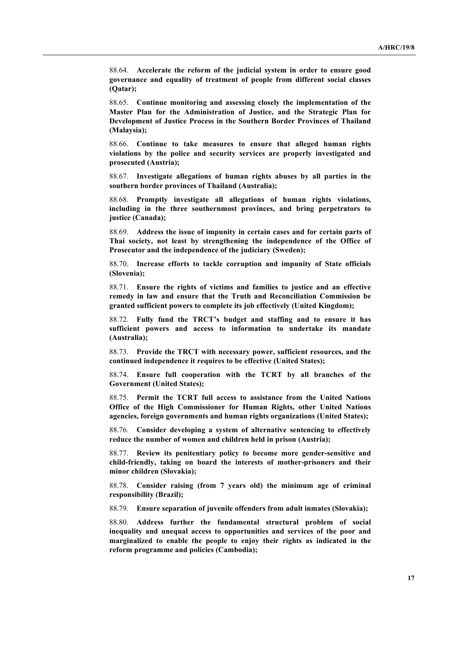88.64. **Accelerate the reform of the judicial system in order to ensure good governance and equality of treatment of people from different social classes (Qatar);**

88.65. **Continue monitoring and assessing closely the implementation of the Master Plan for the Administration of Justice, and the Strategic Plan for Development of Justice Process in the Southern Border Provinces of Thailand (Malaysia);**

88.66. **Continue to take measures to ensure that alleged human rights violations by the police and security services are properly investigated and prosecuted (Austria);**

88.67. **Investigate allegations of human rights abuses by all parties in the southern border provinces of Thailand (Australia);**

88.68. **Promptly investigate all allegations of human rights violations, including in the three southernmost provinces, and bring perpetrators to justice (Canada);**

88.69. **Address the issue of impunity in certain cases and for certain parts of Thai society, not least by strengthening the independence of the Office of Prosecutor and the independence of the judiciary (Sweden);**

88.70. **Increase efforts to tackle corruption and impunity of State officials (Slovenia);**

88.71. **Ensure the rights of victims and families to justice and an effective remedy in law and ensure that the Truth and Reconciliation Commission be granted sufficient powers to complete its job effectively (United Kingdom);**

88.72. **Fully fund the TRCT's budget and staffing and to ensure it has sufficient powers and access to information to undertake its mandate (Australia);**

88.73. **Provide the TRCT with necessary power, sufficient resources, and the continued independence it requires to be effective (United States);**

88.74. **Ensure full cooperation with the TCRT by all branches of the Government (United States);**

88.75. **Permit the TCRT full access to assistance from the United Nations Office of the High Commissioner for Human Rights, other United Nations agencies, foreign governments and human rights organizations (United States);**

88.76. **Consider developing a system of alternative sentencing to effectively reduce the number of women and children held in prison (Austria);**

88.77. **Review its penitentiary policy to become more gender-sensitive and child-friendly, taking on board the interests of mother-prisoners and their minor children (Slovakia);**

88.78. **Consider raising (from 7 years old) the minimum age of criminal responsibility (Brazil);**

88.79. **Ensure separation of juvenile offenders from adult inmates (Slovakia);**

88.80. **Address further the fundamental structural problem of social inequality and unequal access to opportunities and services of the poor and marginalized to enable the people to enjoy their rights as indicated in the reform programme and policies (Cambodia);**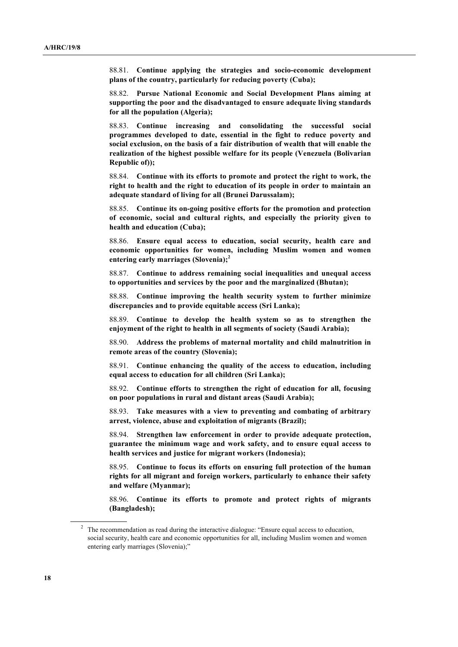88.81. **Continue applying the strategies and socio-economic development plans of the country, particularly for reducing poverty (Cuba);**

88.82. **Pursue National Economic and Social Development Plans aiming at supporting the poor and the disadvantaged to ensure adequate living standards for all the population (Algeria);**

88.83. **Continue increasing and consolidating the successful social programmes developed to date, essential in the fight to reduce poverty and social exclusion, on the basis of a fair distribution of wealth that will enable the realization of the highest possible welfare for its people (Venezuela (Bolivarian Republic of));**

88.84. **Continue with its efforts to promote and protect the right to work, the right to health and the right to education of its people in order to maintain an adequate standard of living for all (Brunei Darussalam);**

88.85. **Continue its on-going positive efforts for the promotion and protection of economic, social and cultural rights, and especially the priority given to health and education (Cuba);**

88.86. **Ensure equal access to education, social security, health care and economic opportunities for women, including Muslim women and women entering early marriages (Slovenia);<sup>2</sup>**

88.87. **Continue to address remaining social inequalities and unequal access to opportunities and services by the poor and the marginalized (Bhutan);**

88.88. **Continue improving the health security system to further minimize discrepancies and to provide equitable access (Sri Lanka);**

88.89. **Continue to develop the health system so as to strengthen the enjoyment of the right to health in all segments of society (Saudi Arabia);**

88.90. **Address the problems of maternal mortality and child malnutrition in remote areas of the country (Slovenia);**

88.91. **Continue enhancing the quality of the access to education, including equal access to education for all children (Sri Lanka);**

88.92. **Continue efforts to strengthen the right of education for all, focusing on poor populations in rural and distant areas (Saudi Arabia);**

88.93. **Take measures with a view to preventing and combating of arbitrary arrest, violence, abuse and exploitation of migrants (Brazil);**

88.94. **Strengthen law enforcement in order to provide adequate protection, guarantee the minimum wage and work safety, and to ensure equal access to health services and justice for migrant workers (Indonesia);**

88.95. **Continue to focus its efforts on ensuring full protection of the human rights for all migrant and foreign workers, particularly to enhance their safety and welfare (Myanmar);**

88.96. **Continue its efforts to promote and protect rights of migrants (Bangladesh);**

<sup>&</sup>lt;sup>2</sup> The recommendation as read during the interactive dialogue: "Ensure equal access to education, social security, health care and economic opportunities for all, including Muslim women and women entering early marriages (Slovenia);"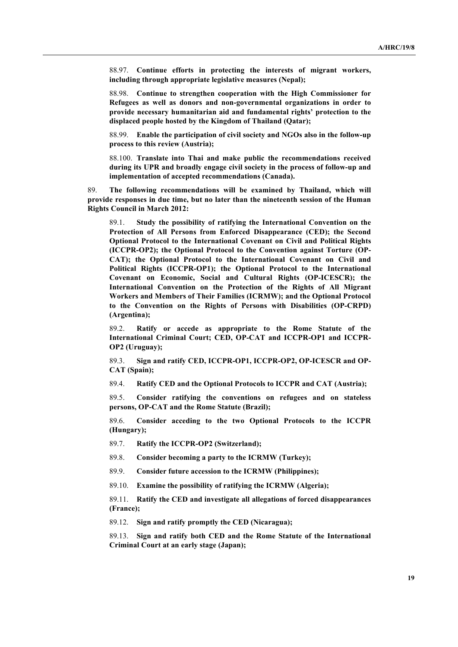88.97. **Continue efforts in protecting the interests of migrant workers, including through appropriate legislative measures (Nepal);**

88.98. **Continue to strengthen cooperation with the High Commissioner for Refugees as well as donors and non-governmental organizations in order to provide necessary humanitarian aid and fundamental rights' protection to the displaced people hosted by the Kingdom of Thailand (Qatar);**

88.99. **Enable the participation of civil society and NGOs also in the follow-up process to this review (Austria);**

88.100. **Translate into Thai and make public the recommendations received during its UPR and broadly engage civil society in the process of follow-up and implementation of accepted recommendations (Canada).**

89. **The following recommendations will be examined by Thailand, which will provide responses in due time, but no later than the nineteenth session of the Human Rights Council in March 2012:**

89.1. **Study the possibility of ratifying the International Convention on the Protection of All Persons from Enforced Disappearance (CED); the Second Optional Protocol to the International Covenant on Civil and Political Rights (ICCPR-OP2); the Optional Protocol to the Convention against Torture (OP-CAT); the Optional Protocol to the International Covenant on Civil and Political Rights (ICCPR-OP1); the Optional Protocol to the International Covenant on Economic, Social and Cultural Rights (OP-ICESCR); the International Convention on the Protection of the Rights of All Migrant Workers and Members of Their Families (ICRMW); and the Optional Protocol to the Convention on the Rights of Persons with Disabilities (OP-CRPD) (Argentina);**

89.2. **Ratify or accede as appropriate to the Rome Statute of the International Criminal Court; CED, OP-CAT and ICCPR-OP1 and ICCPR-OP2 (Uruguay);**

89.3. **Sign and ratify CED, ICCPR-OP1, ICCPR-OP2, OP-ICESCR and OP-CAT (Spain);**

89.4. **Ratify CED and the Optional Protocols to ICCPR and CAT (Austria);**

89.5. **Consider ratifying the conventions on refugees and on stateless persons, OP-CAT and the Rome Statute (Brazil);**

89.6. **Consider acceding to the two Optional Protocols to the ICCPR (Hungary);**

89.7. **Ratify the ICCPR-OP2 (Switzerland);**

89.8. **Consider becoming a party to the ICRMW (Turkey);**

89.9. **Consider future accession to the ICRMW (Philippines);**

89.10. **Examine the possibility of ratifying the ICRMW (Algeria);**

89.11. **Ratify the CED and investigate all allegations of forced disappearances (France);**

89.12. **Sign and ratify promptly the CED (Nicaragua);**

89.13. **Sign and ratify both CED and the Rome Statute of the International Criminal Court at an early stage (Japan);**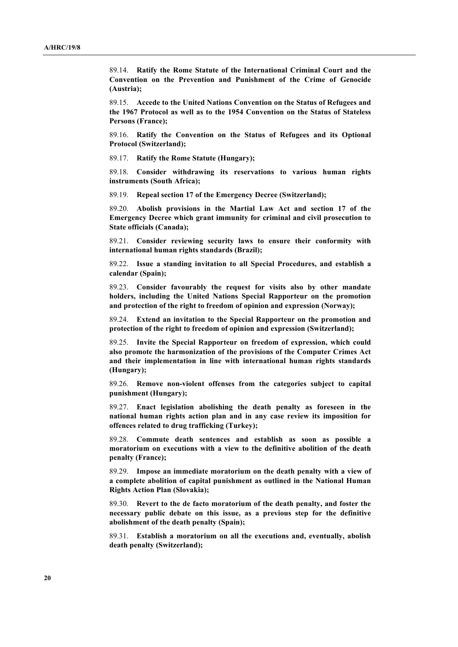89.14. **Ratify the Rome Statute of the International Criminal Court and the Convention on the Prevention and Punishment of the Crime of Genocide (Austria);**

89.15. **Accede to the United Nations Convention on the Status of Refugees and the 1967 Protocol as well as to the 1954 Convention on the Status of Stateless Persons (France);**

89.16. **Ratify the Convention on the Status of Refugees and its Optional Protocol (Switzerland);**

89.17. **Ratify the Rome Statute (Hungary);**

89.18. **Consider withdrawing its reservations to various human rights instruments (South Africa);**

89.19. **Repeal section 17 of the Emergency Decree (Switzerland);**

89.20. **Abolish provisions in the Martial Law Act and section 17 of the Emergency Decree which grant immunity for criminal and civil prosecution to State officials (Canada);**

89.21. **Consider reviewing security laws to ensure their conformity with international human rights standards (Brazil);**

89.22. **Issue a standing invitation to all Special Procedures, and establish a calendar (Spain);**

89.23. **Consider favourably the request for visits also by other mandate holders, including the United Nations Special Rapporteur on the promotion and protection of the right to freedom of opinion and expression (Norway);**

89.24. **Extend an invitation to the Special Rapporteur on the promotion and protection of the right to freedom of opinion and expression (Switzerland);**

89.25. **Invite the Special Rapporteur on freedom of expression, which could also promote the harmonization of the provisions of the Computer Crimes Act and their implementation in line with international human rights standards (Hungary);**

89.26. **Remove non-violent offenses from the categories subject to capital punishment (Hungary);**

89.27. **Enact legislation abolishing the death penalty as foreseen in the national human rights action plan and in any case review its imposition for offences related to drug trafficking (Turkey);**

89.28. **Commute death sentences and establish as soon as possible a moratorium on executions with a view to the definitive abolition of the death penalty (France);**

89.29. **Impose an immediate moratorium on the death penalty with a view of a complete abolition of capital punishment as outlined in the National Human Rights Action Plan (Slovakia);**

89.30. **Revert to the de facto moratorium of the death penalty, and foster the necessary public debate on this issue, as a previous step for the definitive abolishment of the death penalty (Spain);**

89.31. **Establish a moratorium on all the executions and, eventually, abolish death penalty (Switzerland);**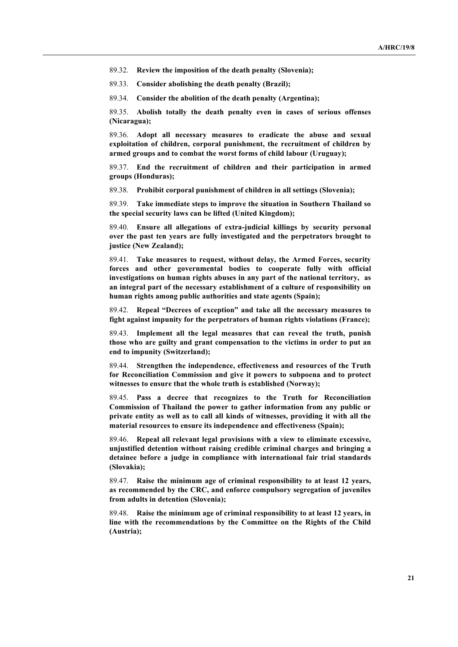89.32. **Review the imposition of the death penalty (Slovenia);**

89.33. **Consider abolishing the death penalty (Brazil);**

89.34. **Consider the abolition of the death penalty (Argentina);**

89.35. **Abolish totally the death penalty even in cases of serious offenses (Nicaragua);**

89.36. **Adopt all necessary measures to eradicate the abuse and sexual exploitation of children, corporal punishment, the recruitment of children by armed groups and to combat the worst forms of child labour (Uruguay);**

89.37. **End the recruitment of children and their participation in armed groups (Honduras);**

89.38. **Prohibit corporal punishment of children in all settings (Slovenia);**

89.39. **Take immediate steps to improve the situation in Southern Thailand so the special security laws can be lifted (United Kingdom);**

89.40. **Ensure all allegations of extra-judicial killings by security personal over the past ten years are fully investigated and the perpetrators brought to justice (New Zealand);**

89.41. **Take measures to request, without delay, the Armed Forces, security forces and other governmental bodies to cooperate fully with official investigations on human rights abuses in any part of the national territory, as an integral part of the necessary establishment of a culture of responsibility on human rights among public authorities and state agents (Spain);**

89.42. **Repeal "Decrees of exception" and take all the necessary measures to fight against impunity for the perpetrators of human rights violations (France);**

89.43. **Implement all the legal measures that can reveal the truth, punish those who are guilty and grant compensation to the victims in order to put an end to impunity (Switzerland);**

89.44. **Strengthen the independence, effectiveness and resources of the Truth for Reconciliation Commission and give it powers to subpoena and to protect witnesses to ensure that the whole truth is established (Norway);**

89.45. **Pass a decree that recognizes to the Truth for Reconciliation Commission of Thailand the power to gather information from any public or private entity as well as to call all kinds of witnesses, providing it with all the material resources to ensure its independence and effectiveness (Spain);**

89.46. **Repeal all relevant legal provisions with a view to eliminate excessive, unjustified detention without raising credible criminal charges and bringing a detainee before a judge in compliance with international fair trial standards (Slovakia);**

89.47. **Raise the minimum age of criminal responsibility to at least 12 years, as recommended by the CRC, and enforce compulsory segregation of juveniles from adults in detention (Slovenia);**

89.48. **Raise the minimum age of criminal responsibility to at least 12 years, in line with the recommendations by the Committee on the Rights of the Child (Austria);**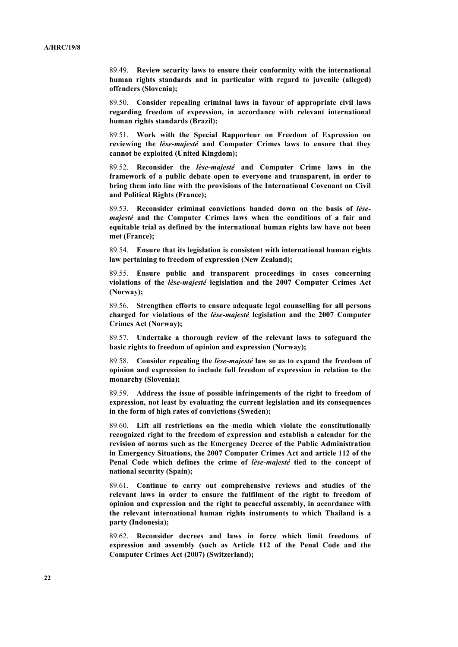89.49. **Review security laws to ensure their conformity with the international human rights standards and in particular with regard to juvenile (alleged) offenders (Slovenia);**

89.50. **Consider repealing criminal laws in favour of appropriate civil laws regarding freedom of expression, in accordance with relevant international human rights standards (Brazil);**

89.51. **Work with the Special Rapporteur on Freedom of Expression on reviewing the** *lèse-majesté* **and Computer Crimes laws to ensure that they cannot be exploited (United Kingdom);**

89.52. **Reconsider the** *lèse-majesté* **and Computer Crime laws in the framework of a public debate open to everyone and transparent, in order to bring them into line with the provisions of the International Covenant on Civil and Political Rights (France);**

89.53. **Reconsider criminal convictions handed down on the basis of** *lèsemajesté* **and the Computer Crimes laws when the conditions of a fair and equitable trial as defined by the international human rights law have not been met (France);**

89.54. **Ensure that its legislation is consistent with international human rights law pertaining to freedom of expression (New Zealand);**

89.55. **Ensure public and transparent proceedings in cases concerning violations of the** *lèse-majesté* **legislation and the 2007 Computer Crimes Act (Norway);**

89.56. **Strengthen efforts to ensure adequate legal counselling for all persons charged for violations of the** *lèse-majesté* **legislation and the 2007 Computer Crimes Act (Norway);**

89.57. **Undertake a thorough review of the relevant laws to safeguard the basic rights to freedom of opinion and expression (Norway);**

89.58. **Consider repealing the** *lèse-majesté* **law so as to expand the freedom of opinion and expression to include full freedom of expression in relation to the monarchy (Slovenia);**

89.59. **Address the issue of possible infringements of the right to freedom of expression, not least by evaluating the current legislation and its consequences in the form of high rates of convictions (Sweden);**

89.60. **Lift all restrictions on the media which violate the constitutionally recognized right to the freedom of expression and establish a calendar for the revision of norms such as the Emergency Decree of the Public Administration in Emergency Situations, the 2007 Computer Crimes Act and article 112 of the Penal Code which defines the crime of** *lèse-majesté* **tied to the concept of national security (Spain);**

89.61. **Continue to carry out comprehensive reviews and studies of the relevant laws in order to ensure the fulfilment of the right to freedom of opinion and expression and the right to peaceful assembly, in accordance with the relevant international human rights instruments to which Thailand is a party (Indonesia);**

89.62. **Reconsider decrees and laws in force which limit freedoms of expression and assembly (such as Article 112 of the Penal Code and the Computer Crimes Act (2007) (Switzerland);**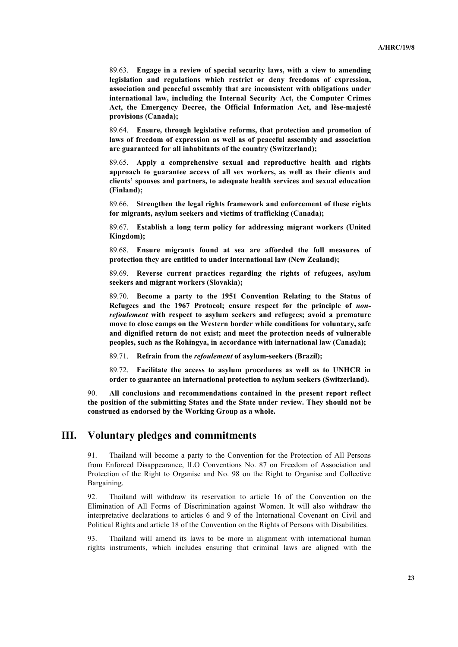89.63. **Engage in a review of special security laws, with a view to amending legislation and regulations which restrict or deny freedoms of expression, association and peaceful assembly that are inconsistent with obligations under international law, including the Internal Security Act, the Computer Crimes Act, the Emergency Decree, the Official Information Act, and lèse-majesté provisions (Canada);**

89.64. **Ensure, through legislative reforms, that protection and promotion of laws of freedom of expression as well as of peaceful assembly and association are guaranteed for all inhabitants of the country (Switzerland);**

89.65. **Apply a comprehensive sexual and reproductive health and rights approach to guarantee access of all sex workers, as well as their clients and clients' spouses and partners, to adequate health services and sexual education (Finland);**

89.66. **Strengthen the legal rights framework and enforcement of these rights for migrants, asylum seekers and victims of trafficking (Canada);**

89.67. **Establish a long term policy for addressing migrant workers (United Kingdom);**

89.68. **Ensure migrants found at sea are afforded the full measures of protection they are entitled to under international law (New Zealand);**

89.69. **Reverse current practices regarding the rights of refugees, asylum seekers and migrant workers (Slovakia);**

89.70. **Become a party to the 1951 Convention Relating to the Status of Refugees and the 1967 Protocol; ensure respect for the principle of** *nonrefoulement* **with respect to asylum seekers and refugees; avoid a premature move to close camps on the Western border while conditions for voluntary, safe and dignified return do not exist; and meet the protection needs of vulnerable peoples, such as the Rohingya, in accordance with international law (Canada);**

89.71. **Refrain from the** *refoulement* **of asylum-seekers (Brazil);**

89.72. **Facilitate the access to asylum procedures as well as to UNHCR in order to guarantee an international protection to asylum seekers (Switzerland).**

90. **All conclusions and recommendations contained in the present report reflect the position of the submitting States and the State under review. They should not be construed as endorsed by the Working Group as a whole.**

### **III. Voluntary pledges and commitments**

91. Thailand will become a party to the Convention for the Protection of All Persons from Enforced Disappearance, ILO Conventions No. 87 on Freedom of Association and Protection of the Right to Organise and No. 98 on the Right to Organise and Collective Bargaining.

92. Thailand will withdraw its reservation to article 16 of the Convention on the Elimination of All Forms of Discrimination against Women. It will also withdraw the interpretative declarations to articles 6 and 9 of the International Covenant on Civil and Political Rights and article 18 of the Convention on the Rights of Persons with Disabilities.

93. Thailand will amend its laws to be more in alignment with international human rights instruments, which includes ensuring that criminal laws are aligned with the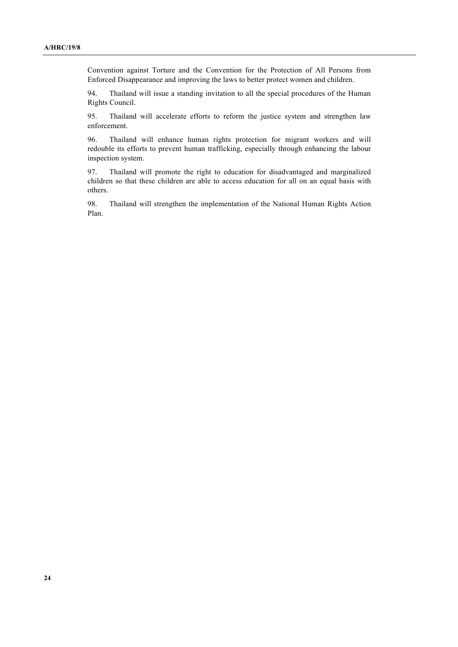Convention against Torture and the Convention for the Protection of All Persons from Enforced Disappearance and improving the laws to better protect women and children.

94. Thailand will issue a standing invitation to all the special procedures of the Human Rights Council.

95. Thailand will accelerate efforts to reform the justice system and strengthen law enforcement.

96. Thailand will enhance human rights protection for migrant workers and will redouble its efforts to prevent human trafficking, especially through enhancing the labour inspection system.

97. Thailand will promote the right to education for disadvantaged and marginalized children so that these children are able to access education for all on an equal basis with others.

98. Thailand will strengthen the implementation of the National Human Rights Action Plan.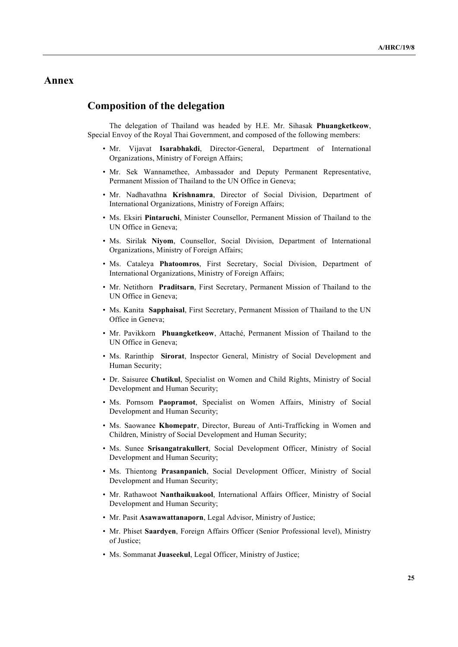## **Annex**

## **Composition of the delegation**

The delegation of Thailand was headed by H.E. Mr. Sihasak **Phuangketkeow**, Special Envoy of the Royal Thai Government, and composed of the following members:

- Mr. Vijavat **Isarabhakdi**, Director-General, Department of International Organizations, Ministry of Foreign Affairs;
- Mr. Sek Wannamethee, Ambassador and Deputy Permanent Representative, Permanent Mission of Thailand to the UN Office in Geneva;
- Mr. Nadhavathna **Krishnamra**, Director of Social Division, Department of International Organizations, Ministry of Foreign Affairs;
- Ms. Eksiri **Pintaruchi**, Minister Counsellor, Permanent Mission of Thailand to the UN Office in Geneva;
- Ms. Sirilak **Niyom**, Counsellor, Social Division, Department of International Organizations, Ministry of Foreign Affairs;
- Ms. Cataleya **Phatoomros**, First Secretary, Social Division, Department of International Organizations, Ministry of Foreign Affairs;
- Mr. Netithorn **Praditsarn**, First Secretary, Permanent Mission of Thailand to the UN Office in Geneva;
- Ms. Kanita **Sapphaisal**, First Secretary, Permanent Mission of Thailand to the UN Office in Geneva;
- Mr. Pavikkorn **Phuangketkeow**, Attaché, Permanent Mission of Thailand to the UN Office in Geneva;
- Ms. Rarinthip **Sirorat**, Inspector General, Ministry of Social Development and Human Security;
- Dr. Saisuree **Chutikul**, Specialist on Women and Child Rights, Ministry of Social Development and Human Security;
- Ms. Pornsom **Paopramot**, Specialist on Women Affairs, Ministry of Social Development and Human Security;
- Ms. Saowanee **Khomepatr**, Director, Bureau of Anti-Trafficking in Women and Children, Ministry of Social Development and Human Security;
- Ms. Sunee **Srisangatrakullert**, Social Development Officer, Ministry of Social Development and Human Security;
- Ms. Thientong **Prasanpanich**, Social Development Officer, Ministry of Social Development and Human Security;
- Mr. Rathawoot **Nanthaikuakool**, International Affairs Officer, Ministry of Social Development and Human Security;
- Mr. Pasit **Asawawattanaporn**, Legal Advisor, Ministry of Justice;
- Mr. Phiset **Saardyen**, Foreign Affairs Officer (Senior Professional level), Ministry of Justice;
- Ms. Sommanat **Juaseekul**, Legal Officer, Ministry of Justice;